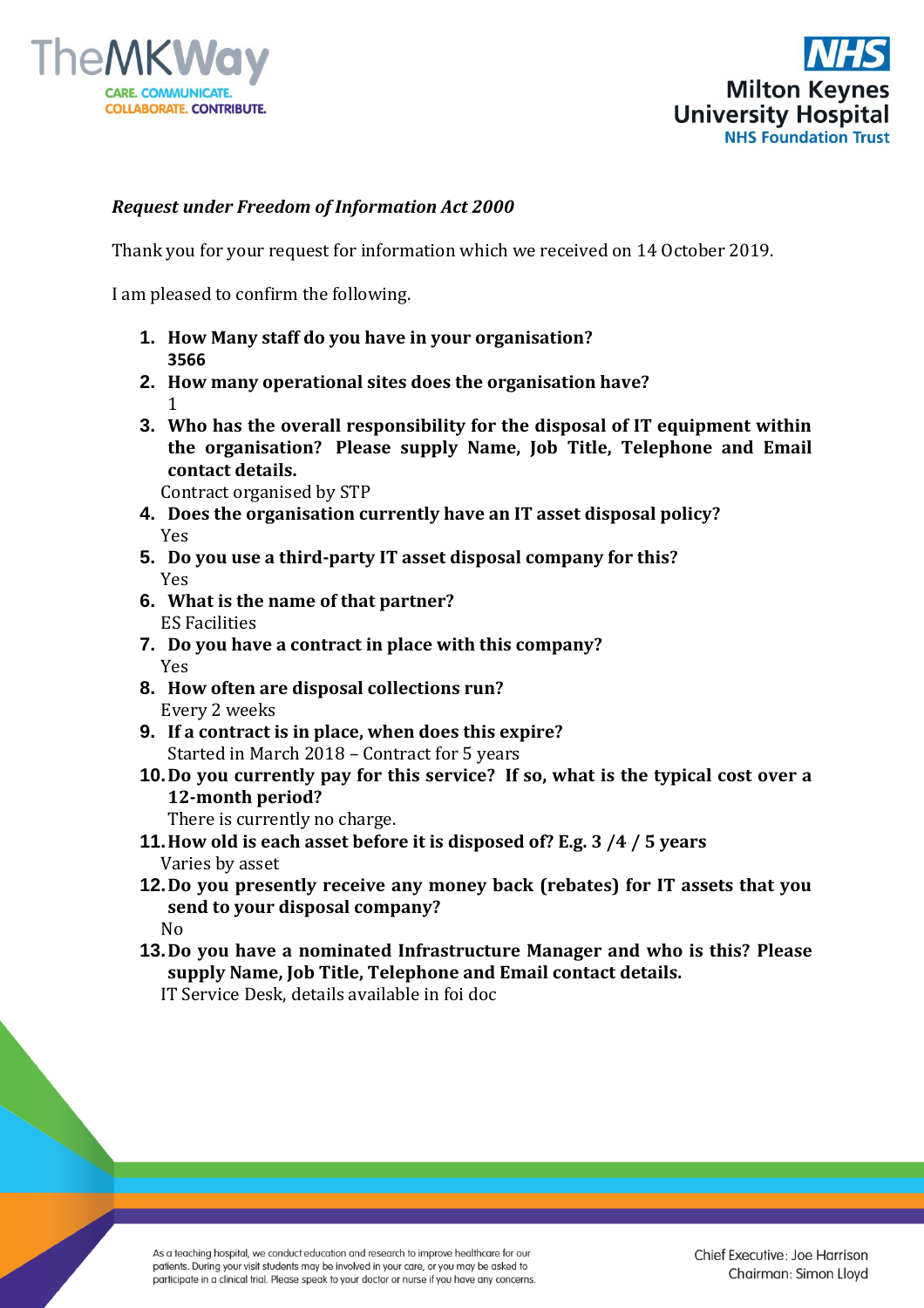



## *Request under Freedom of Information Act 2000*

Thank you for your request for information which we received on 14 October 2019.

I am pleased to confirm the following.

- **1. How Many staff do you have in your organisation? 3566**
- **2. How many operational sites does the organisation have?**  1
- **3. Who has the overall responsibility for the disposal of IT equipment within the organisation? Please supply Name, Job Title, Telephone and Email contact details.**

Contract organised by STP

- **4. Does the organisation currently have an IT asset disposal policy?** Yes
- **5. Do you use a third-party IT asset disposal company for this?** Yes
- **6. What is the name of that partner?** ES Facilities
- **7. Do you have a contract in place with this company?** Yes
- **8. How often are disposal collections run?** Every 2 weeks
- **9. If a contract is in place, when does this expire?** Started in March 2018 – Contract for 5 years
- **10.Do you currently pay for this service? If so, what is the typical cost over a 12-month period?**

There is currently no charge.

- **11.How old is each asset before it is disposed of? E.g. 3 /4 / 5 years** Varies by asset
- **12.Do you presently receive any money back (rebates) for IT assets that you send to your disposal company?** No
- **13.Do you have a nominated Infrastructure Manager and who is this? Please supply Name, Job Title, Telephone and Email contact details.** IT Service Desk, details available in foi doc

As a teaching hospital, we conduct education and research to improve healthcare for our patients. During your visit students may be involved in your care, or you may be asked to participate in a clinical trial. Please speak to your doctor or nurse if you have any concerns.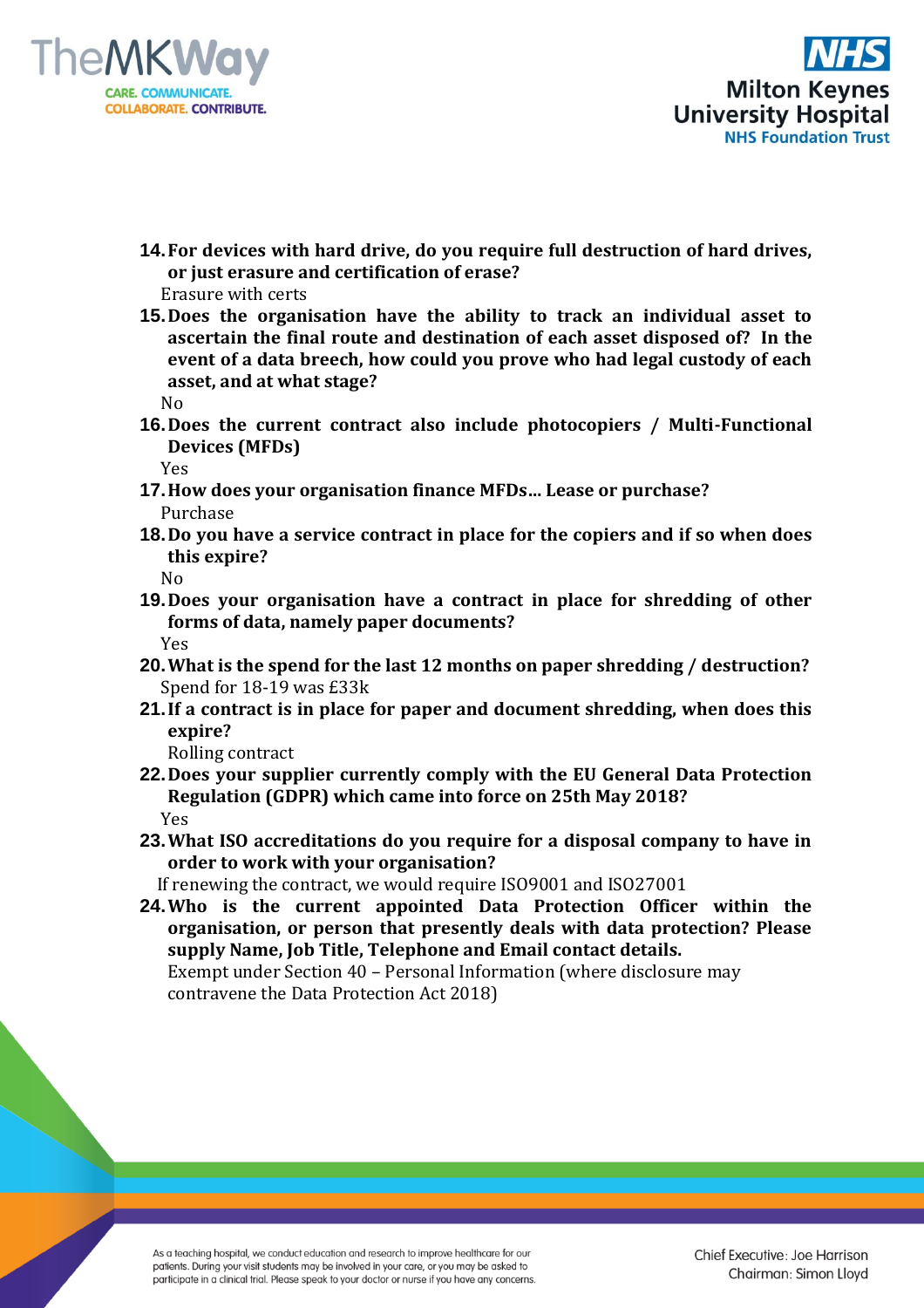



**14.For devices with hard drive, do you require full destruction of hard drives, or just erasure and certification of erase?**

Erasure with certs

**15.Does the organisation have the ability to track an individual asset to ascertain the final route and destination of each asset disposed of? In the event of a data breech, how could you prove who had legal custody of each asset, and at what stage?**

No

**16.Does the current contract also include photocopiers / Multi-Functional Devices (MFDs)**

Yes

- **17.How does your organisation finance MFDs… Lease or purchase?** Purchase
- **18.Do you have a service contract in place for the copiers and if so when does this expire?**

No

- **19.Does your organisation have a contract in place for shredding of other forms of data, namely paper documents?**  Yes
- **20.What is the spend for the last 12 months on paper shredding / destruction?** Spend for 18-19 was £33k
- **21.If a contract is in place for paper and document shredding, when does this expire?**

Rolling contract

- **22.Does your supplier currently comply with the EU General Data Protection Regulation (GDPR) which came into force on 25th May 2018?** Yes
- **23.What ISO accreditations do you require for a disposal company to have in order to work with your organisation?**

If renewing the contract, we would require ISO9001 and ISO27001

**24.Who is the current appointed Data Protection Officer within the organisation, or person that presently deals with data protection? Please supply Name, Job Title, Telephone and Email contact details.** Exempt under Section 40 – Personal Information (where disclosure may

contravene the Data Protection Act 2018)

As a teaching hospital, we conduct education and research to improve healthcare for our patients. During your visit students may be involved in your care, or you may be asked to participate in a clinical trial. Please speak to your doctor or nurse if you have any concerns.